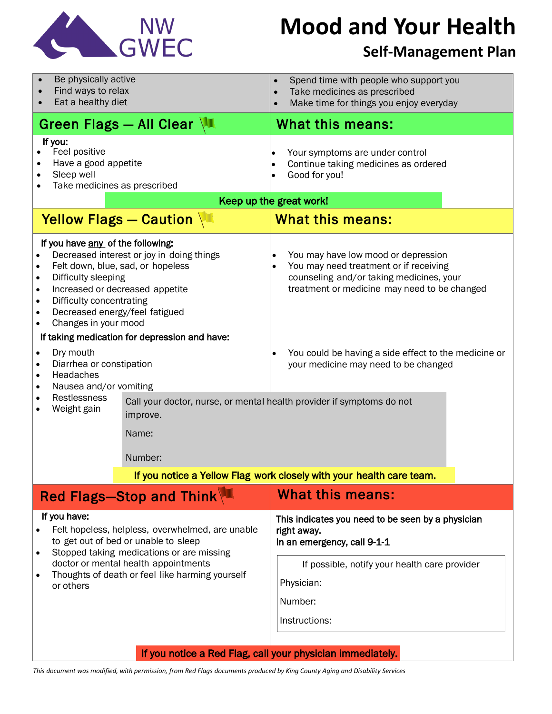

# **Mood and Your Health**

### **Self-Management Plan**

| Be physically active<br>Find ways to relax<br>Eat a healthy diet<br>$\bullet$                                                                                                                                                                                                                                                                                                              | Spend time with people who support you<br>$\bullet$<br>Take medicines as prescribed<br>$\bullet$<br>Make time for things you enjoy everyday<br>$\bullet$                                            |  |
|--------------------------------------------------------------------------------------------------------------------------------------------------------------------------------------------------------------------------------------------------------------------------------------------------------------------------------------------------------------------------------------------|-----------------------------------------------------------------------------------------------------------------------------------------------------------------------------------------------------|--|
| Green Flags - All Clear                                                                                                                                                                                                                                                                                                                                                                    | <b>What this means:</b>                                                                                                                                                                             |  |
| If you:<br>Feel positive<br>Have a good appetite<br>Sleep well<br>Take medicines as prescribed                                                                                                                                                                                                                                                                                             | Your symptoms are under control<br>$\bullet$<br>Continue taking medicines as ordered<br>$\bullet$<br>Good for you!                                                                                  |  |
| Keep up the great work!                                                                                                                                                                                                                                                                                                                                                                    |                                                                                                                                                                                                     |  |
| Yellow Flags - Caution                                                                                                                                                                                                                                                                                                                                                                     | <b>What this means:</b>                                                                                                                                                                             |  |
| If you have any of the following:<br>Decreased interest or joy in doing things<br>Felt down, blue, sad, or hopeless<br>$\bullet$<br>Difficulty sleeping<br>٠<br>Increased or decreased appetite<br>$\bullet$<br>Difficulty concentrating<br>$\bullet$<br>Decreased energy/feel fatigued<br>$\bullet$<br>Changes in your mood<br>$\bullet$<br>If taking medication for depression and have: | You may have low mood or depression<br>$\bullet$<br>You may need treatment or if receiving<br>$\bullet$<br>counseling and/or taking medicines, your<br>treatment or medicine may need to be changed |  |
| Dry mouth<br>$\bullet$<br>Diarrhea or constipation<br>$\bullet$<br>Headaches<br>$\bullet$<br>Nausea and/or vomiting<br>$\bullet$<br>Restlessness<br>$\bullet$<br>Call your doctor, nurse, or mental health provider if symptoms do not<br>Weight gain                                                                                                                                      | You could be having a side effect to the medicine or<br>$\bullet$<br>your medicine may need to be changed                                                                                           |  |
| improve.<br>Name:                                                                                                                                                                                                                                                                                                                                                                          |                                                                                                                                                                                                     |  |
| Number:                                                                                                                                                                                                                                                                                                                                                                                    |                                                                                                                                                                                                     |  |
| If you notice a Yellow Flag work closely with your health care team.                                                                                                                                                                                                                                                                                                                       |                                                                                                                                                                                                     |  |
| Red Flags-Stop and Think                                                                                                                                                                                                                                                                                                                                                                   | <b>What this means:</b>                                                                                                                                                                             |  |
| If you have:<br>Felt hopeless, helpless, overwhelmed, are unable<br>to get out of bed or unable to sleep<br>Stopped taking medications or are missing<br>٠<br>doctor or mental health appointments<br>Thoughts of death or feel like harming yourself<br>or others                                                                                                                         | This indicates you need to be seen by a physician<br>right away.<br>In an emergency, call 9-1-1                                                                                                     |  |
|                                                                                                                                                                                                                                                                                                                                                                                            | If possible, notify your health care provider<br>Physician:<br>Number:                                                                                                                              |  |
|                                                                                                                                                                                                                                                                                                                                                                                            | Instructions:                                                                                                                                                                                       |  |
| If you notice a Red Flag, call your physician immediately.                                                                                                                                                                                                                                                                                                                                 |                                                                                                                                                                                                     |  |